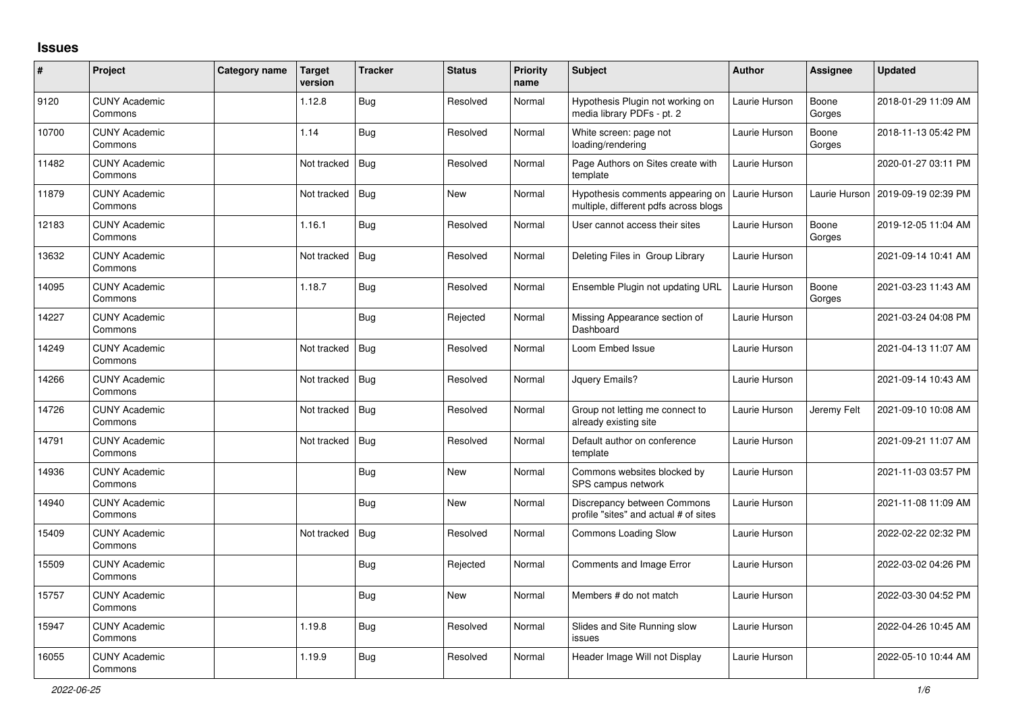## **Issues**

| #     | Project                         | <b>Category name</b> | <b>Target</b><br>version | <b>Tracker</b> | <b>Status</b> | <b>Priority</b><br>name | <b>Subject</b>                                                            | <b>Author</b> | <b>Assignee</b> | <b>Updated</b>      |
|-------|---------------------------------|----------------------|--------------------------|----------------|---------------|-------------------------|---------------------------------------------------------------------------|---------------|-----------------|---------------------|
| 9120  | <b>CUNY Academic</b><br>Commons |                      | 1.12.8                   | <b>Bug</b>     | Resolved      | Normal                  | Hypothesis Plugin not working on<br>media library PDFs - pt. 2            | Laurie Hurson | Boone<br>Gorges | 2018-01-29 11:09 AM |
| 10700 | <b>CUNY Academic</b><br>Commons |                      | 1.14                     | Bug            | Resolved      | Normal                  | White screen: page not<br>loading/rendering                               | Laurie Hurson | Boone<br>Gorges | 2018-11-13 05:42 PM |
| 11482 | <b>CUNY Academic</b><br>Commons |                      | Not tracked              | <b>Bug</b>     | Resolved      | Normal                  | Page Authors on Sites create with<br>template                             | Laurie Hurson |                 | 2020-01-27 03:11 PM |
| 11879 | <b>CUNY Academic</b><br>Commons |                      | Not tracked              | Bug            | New           | Normal                  | Hypothesis comments appearing on<br>multiple, different pdfs across blogs | Laurie Hurson | Laurie Hurson   | 2019-09-19 02:39 PM |
| 12183 | <b>CUNY Academic</b><br>Commons |                      | 1.16.1                   | <b>Bug</b>     | Resolved      | Normal                  | User cannot access their sites                                            | Laurie Hurson | Boone<br>Gorges | 2019-12-05 11:04 AM |
| 13632 | <b>CUNY Academic</b><br>Commons |                      | Not tracked              | Bug            | Resolved      | Normal                  | Deleting Files in Group Library                                           | Laurie Hurson |                 | 2021-09-14 10:41 AM |
| 14095 | <b>CUNY Academic</b><br>Commons |                      | 1.18.7                   | Bug            | Resolved      | Normal                  | Ensemble Plugin not updating URL                                          | Laurie Hurson | Boone<br>Gorges | 2021-03-23 11:43 AM |
| 14227 | <b>CUNY Academic</b><br>Commons |                      |                          | <b>Bug</b>     | Rejected      | Normal                  | Missing Appearance section of<br>Dashboard                                | Laurie Hurson |                 | 2021-03-24 04:08 PM |
| 14249 | <b>CUNY Academic</b><br>Commons |                      | Not tracked              | <b>Bug</b>     | Resolved      | Normal                  | Loom Embed Issue                                                          | Laurie Hurson |                 | 2021-04-13 11:07 AM |
| 14266 | <b>CUNY Academic</b><br>Commons |                      | Not tracked              | Bug            | Resolved      | Normal                  | Jquery Emails?                                                            | Laurie Hurson |                 | 2021-09-14 10:43 AM |
| 14726 | <b>CUNY Academic</b><br>Commons |                      | Not tracked              | <b>Bug</b>     | Resolved      | Normal                  | Group not letting me connect to<br>already existing site                  | Laurie Hurson | Jeremy Felt     | 2021-09-10 10:08 AM |
| 14791 | <b>CUNY Academic</b><br>Commons |                      | Not tracked              | Bug            | Resolved      | Normal                  | Default author on conference<br>template                                  | Laurie Hurson |                 | 2021-09-21 11:07 AM |
| 14936 | <b>CUNY Academic</b><br>Commons |                      |                          | <b>Bug</b>     | New           | Normal                  | Commons websites blocked by<br>SPS campus network                         | Laurie Hurson |                 | 2021-11-03 03:57 PM |
| 14940 | <b>CUNY Academic</b><br>Commons |                      |                          | <b>Bug</b>     | New           | Normal                  | Discrepancy between Commons<br>profile "sites" and actual # of sites      | Laurie Hurson |                 | 2021-11-08 11:09 AM |
| 15409 | <b>CUNY Academic</b><br>Commons |                      | Not tracked              | <b>Bug</b>     | Resolved      | Normal                  | <b>Commons Loading Slow</b>                                               | Laurie Hurson |                 | 2022-02-22 02:32 PM |
| 15509 | <b>CUNY Academic</b><br>Commons |                      |                          | <b>Bug</b>     | Rejected      | Normal                  | <b>Comments and Image Error</b>                                           | Laurie Hurson |                 | 2022-03-02 04:26 PM |
| 15757 | <b>CUNY Academic</b><br>Commons |                      |                          | <b>Bug</b>     | New           | Normal                  | Members # do not match                                                    | Laurie Hurson |                 | 2022-03-30 04:52 PM |
| 15947 | <b>CUNY Academic</b><br>Commons |                      | 1.19.8                   | Bug            | Resolved      | Normal                  | Slides and Site Running slow<br>issues                                    | Laurie Hurson |                 | 2022-04-26 10:45 AM |
| 16055 | <b>CUNY Academic</b><br>Commons |                      | 1.19.9                   | <b>Bug</b>     | Resolved      | Normal                  | Header Image Will not Display                                             | Laurie Hurson |                 | 2022-05-10 10:44 AM |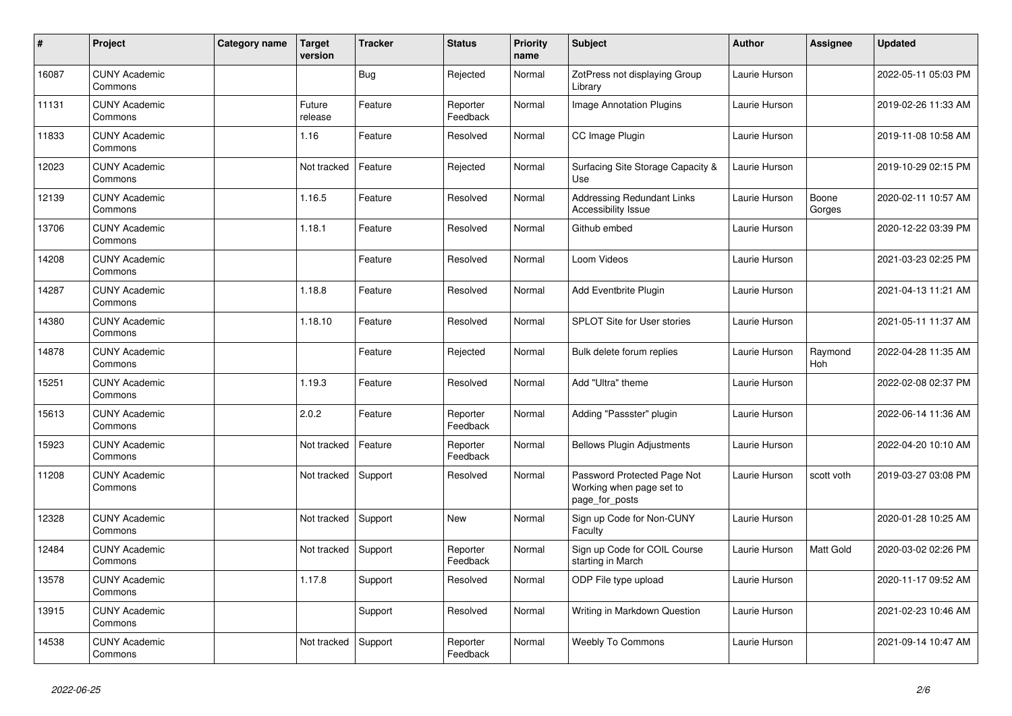| $\vert$ # | Project                         | Category name | Target<br>version | <b>Tracker</b> | <b>Status</b>        | Priority<br>name | <b>Subject</b>                                                            | Author        | <b>Assignee</b>  | <b>Updated</b>      |
|-----------|---------------------------------|---------------|-------------------|----------------|----------------------|------------------|---------------------------------------------------------------------------|---------------|------------------|---------------------|
| 16087     | <b>CUNY Academic</b><br>Commons |               |                   | Bug            | Rejected             | Normal           | ZotPress not displaying Group<br>Library                                  | Laurie Hurson |                  | 2022-05-11 05:03 PM |
| 11131     | <b>CUNY Academic</b><br>Commons |               | Future<br>release | Feature        | Reporter<br>Feedback | Normal           | Image Annotation Plugins                                                  | Laurie Hurson |                  | 2019-02-26 11:33 AM |
| 11833     | <b>CUNY Academic</b><br>Commons |               | 1.16              | Feature        | Resolved             | Normal           | CC Image Plugin                                                           | Laurie Hurson |                  | 2019-11-08 10:58 AM |
| 12023     | <b>CUNY Academic</b><br>Commons |               | Not tracked       | Feature        | Rejected             | Normal           | Surfacing Site Storage Capacity &<br>Use                                  | Laurie Hurson |                  | 2019-10-29 02:15 PM |
| 12139     | <b>CUNY Academic</b><br>Commons |               | 1.16.5            | Feature        | Resolved             | Normal           | <b>Addressing Redundant Links</b><br><b>Accessibility Issue</b>           | Laurie Hurson | Boone<br>Gorges  | 2020-02-11 10:57 AM |
| 13706     | <b>CUNY Academic</b><br>Commons |               | 1.18.1            | Feature        | Resolved             | Normal           | Github embed                                                              | Laurie Hurson |                  | 2020-12-22 03:39 PM |
| 14208     | <b>CUNY Academic</b><br>Commons |               |                   | Feature        | Resolved             | Normal           | Loom Videos                                                               | Laurie Hurson |                  | 2021-03-23 02:25 PM |
| 14287     | <b>CUNY Academic</b><br>Commons |               | 1.18.8            | Feature        | Resolved             | Normal           | Add Eventbrite Plugin                                                     | Laurie Hurson |                  | 2021-04-13 11:21 AM |
| 14380     | <b>CUNY Academic</b><br>Commons |               | 1.18.10           | Feature        | Resolved             | Normal           | <b>SPLOT Site for User stories</b>                                        | Laurie Hurson |                  | 2021-05-11 11:37 AM |
| 14878     | <b>CUNY Academic</b><br>Commons |               |                   | Feature        | Rejected             | Normal           | Bulk delete forum replies                                                 | Laurie Hurson | Raymond<br>Hoh   | 2022-04-28 11:35 AM |
| 15251     | <b>CUNY Academic</b><br>Commons |               | 1.19.3            | Feature        | Resolved             | Normal           | Add "Ultra" theme                                                         | Laurie Hurson |                  | 2022-02-08 02:37 PM |
| 15613     | <b>CUNY Academic</b><br>Commons |               | 2.0.2             | Feature        | Reporter<br>Feedback | Normal           | Adding "Passster" plugin                                                  | Laurie Hurson |                  | 2022-06-14 11:36 AM |
| 15923     | <b>CUNY Academic</b><br>Commons |               | Not tracked       | Feature        | Reporter<br>Feedback | Normal           | <b>Bellows Plugin Adjustments</b>                                         | Laurie Hurson |                  | 2022-04-20 10:10 AM |
| 11208     | <b>CUNY Academic</b><br>Commons |               | Not tracked       | Support        | Resolved             | Normal           | Password Protected Page Not<br>Working when page set to<br>page_for_posts | Laurie Hurson | scott voth       | 2019-03-27 03:08 PM |
| 12328     | <b>CUNY Academic</b><br>Commons |               | Not tracked       | Support        | <b>New</b>           | Normal           | Sign up Code for Non-CUNY<br>Faculty                                      | Laurie Hurson |                  | 2020-01-28 10:25 AM |
| 12484     | <b>CUNY Academic</b><br>Commons |               | Not tracked       | Support        | Reporter<br>Feedback | Normal           | Sign up Code for COIL Course<br>starting in March                         | Laurie Hurson | <b>Matt Gold</b> | 2020-03-02 02:26 PM |
| 13578     | <b>CUNY Academic</b><br>Commons |               | 1.17.8            | Support        | Resolved             | Normal           | ODP File type upload                                                      | Laurie Hurson |                  | 2020-11-17 09:52 AM |
| 13915     | <b>CUNY Academic</b><br>Commons |               |                   | Support        | Resolved             | Normal           | Writing in Markdown Question                                              | Laurie Hurson |                  | 2021-02-23 10:46 AM |
| 14538     | <b>CUNY Academic</b><br>Commons |               | Not tracked       | Support        | Reporter<br>Feedback | Normal           | <b>Weebly To Commons</b>                                                  | Laurie Hurson |                  | 2021-09-14 10:47 AM |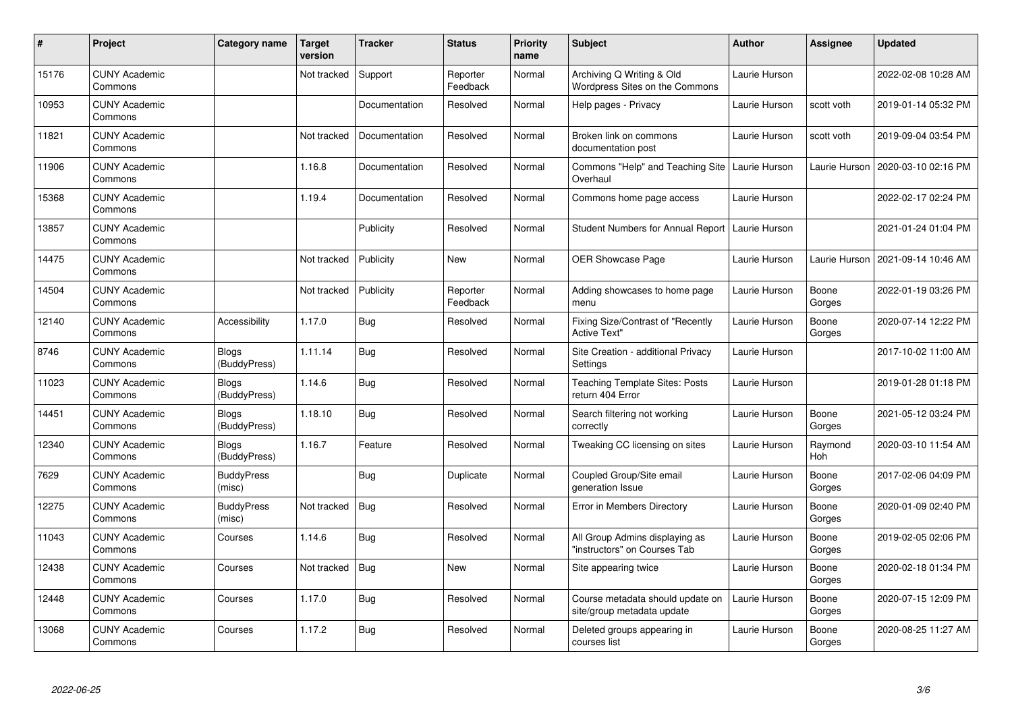| #     | Project                         | Category name                | Target<br>version | <b>Tracker</b> | <b>Status</b>        | <b>Priority</b><br>name | <b>Subject</b>                                                 | <b>Author</b> | <b>Assignee</b> | <b>Updated</b>      |
|-------|---------------------------------|------------------------------|-------------------|----------------|----------------------|-------------------------|----------------------------------------------------------------|---------------|-----------------|---------------------|
| 15176 | <b>CUNY Academic</b><br>Commons |                              | Not tracked       | Support        | Reporter<br>Feedback | Normal                  | Archiving Q Writing & Old<br>Wordpress Sites on the Commons    | Laurie Hurson |                 | 2022-02-08 10:28 AM |
| 10953 | <b>CUNY Academic</b><br>Commons |                              |                   | Documentation  | Resolved             | Normal                  | Help pages - Privacy                                           | Laurie Hurson | scott voth      | 2019-01-14 05:32 PM |
| 11821 | <b>CUNY Academic</b><br>Commons |                              | Not tracked       | Documentation  | Resolved             | Normal                  | Broken link on commons<br>documentation post                   | Laurie Hurson | scott voth      | 2019-09-04 03:54 PM |
| 11906 | <b>CUNY Academic</b><br>Commons |                              | 1.16.8            | Documentation  | Resolved             | Normal                  | Commons "Help" and Teaching Site<br>Overhaul                   | Laurie Hurson | Laurie Hurson   | 2020-03-10 02:16 PM |
| 15368 | <b>CUNY Academic</b><br>Commons |                              | 1.19.4            | Documentation  | Resolved             | Normal                  | Commons home page access                                       | Laurie Hurson |                 | 2022-02-17 02:24 PM |
| 13857 | <b>CUNY Academic</b><br>Commons |                              |                   | Publicity      | Resolved             | Normal                  | Student Numbers for Annual Report                              | Laurie Hurson |                 | 2021-01-24 01:04 PM |
| 14475 | <b>CUNY Academic</b><br>Commons |                              | Not tracked       | Publicity      | <b>New</b>           | Normal                  | <b>OER Showcase Page</b>                                       | Laurie Hurson | Laurie Hurson   | 2021-09-14 10:46 AM |
| 14504 | <b>CUNY Academic</b><br>Commons |                              | Not tracked       | Publicity      | Reporter<br>Feedback | Normal                  | Adding showcases to home page<br>menu                          | Laurie Hurson | Boone<br>Gorges | 2022-01-19 03:26 PM |
| 12140 | <b>CUNY Academic</b><br>Commons | Accessibility                | 1.17.0            | <b>Bug</b>     | Resolved             | Normal                  | Fixing Size/Contrast of "Recently<br><b>Active Text"</b>       | Laurie Hurson | Boone<br>Gorges | 2020-07-14 12:22 PM |
| 8746  | <b>CUNY Academic</b><br>Commons | <b>Blogs</b><br>(BuddyPress) | 1.11.14           | <b>Bug</b>     | Resolved             | Normal                  | Site Creation - additional Privacy<br>Settings                 | Laurie Hurson |                 | 2017-10-02 11:00 AM |
| 11023 | <b>CUNY Academic</b><br>Commons | <b>Blogs</b><br>(BuddyPress) | 1.14.6            | Bug            | Resolved             | Normal                  | <b>Teaching Template Sites: Posts</b><br>return 404 Error      | Laurie Hurson |                 | 2019-01-28 01:18 PM |
| 14451 | <b>CUNY Academic</b><br>Commons | Blogs<br>(BuddyPress)        | 1.18.10           | <b>Bug</b>     | Resolved             | Normal                  | Search filtering not working<br>correctly                      | Laurie Hurson | Boone<br>Gorges | 2021-05-12 03:24 PM |
| 12340 | <b>CUNY Academic</b><br>Commons | <b>Blogs</b><br>(BuddyPress) | 1.16.7            | Feature        | Resolved             | Normal                  | Tweaking CC licensing on sites                                 | Laurie Hurson | Raymond<br>Hoh  | 2020-03-10 11:54 AM |
| 7629  | <b>CUNY Academic</b><br>Commons | <b>BuddyPress</b><br>(misc)  |                   | <b>Bug</b>     | Duplicate            | Normal                  | Coupled Group/Site email<br>generation Issue                   | Laurie Hurson | Boone<br>Gorges | 2017-02-06 04:09 PM |
| 12275 | <b>CUNY Academic</b><br>Commons | <b>BuddyPress</b><br>(misc)  | Not tracked       | Bug            | Resolved             | Normal                  | <b>Error in Members Directory</b>                              | Laurie Hurson | Boone<br>Gorges | 2020-01-09 02:40 PM |
| 11043 | <b>CUNY Academic</b><br>Commons | Courses                      | 1.14.6            | <b>Bug</b>     | Resolved             | Normal                  | All Group Admins displaying as<br>"instructors" on Courses Tab | Laurie Hurson | Boone<br>Gorges | 2019-02-05 02:06 PM |
| 12438 | <b>CUNY Academic</b><br>Commons | Courses                      | Not tracked       | <b>Bug</b>     | New                  | Normal                  | Site appearing twice                                           | Laurie Hurson | Boone<br>Gorges | 2020-02-18 01:34 PM |
| 12448 | <b>CUNY Academic</b><br>Commons | Courses                      | 1.17.0            | <b>Bug</b>     | Resolved             | Normal                  | Course metadata should update on<br>site/group metadata update | Laurie Hurson | Boone<br>Gorges | 2020-07-15 12:09 PM |
| 13068 | <b>CUNY Academic</b><br>Commons | Courses                      | 1.17.2            | <b>Bug</b>     | Resolved             | Normal                  | Deleted groups appearing in<br>courses list                    | Laurie Hurson | Boone<br>Gorges | 2020-08-25 11:27 AM |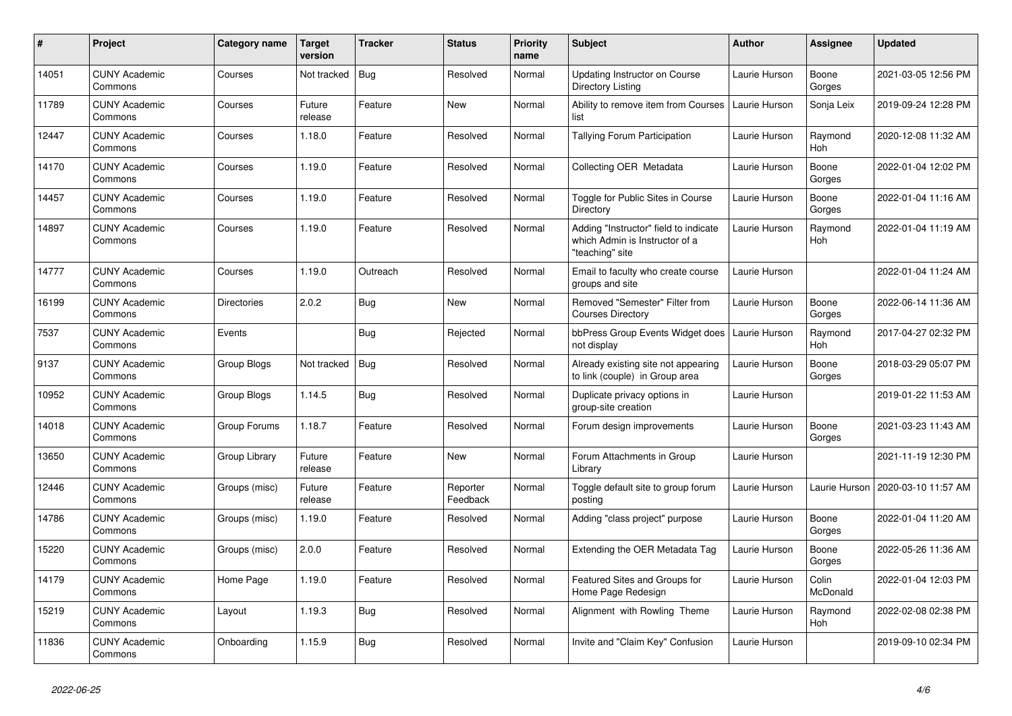| $\pmb{\#}$ | <b>Project</b>                  | Category name      | <b>Target</b><br>version | <b>Tracker</b> | <b>Status</b>        | <b>Priority</b><br>name | <b>Subject</b>                                                                             | <b>Author</b> | Assignee          | Updated             |
|------------|---------------------------------|--------------------|--------------------------|----------------|----------------------|-------------------------|--------------------------------------------------------------------------------------------|---------------|-------------------|---------------------|
| 14051      | <b>CUNY Academic</b><br>Commons | Courses            | Not tracked              | Bug            | Resolved             | Normal                  | <b>Updating Instructor on Course</b><br>Directory Listing                                  | Laurie Hurson | Boone<br>Gorges   | 2021-03-05 12:56 PM |
| 11789      | <b>CUNY Academic</b><br>Commons | Courses            | Future<br>release        | Feature        | <b>New</b>           | Normal                  | Ability to remove item from Courses<br>list                                                | Laurie Hurson | Sonja Leix        | 2019-09-24 12:28 PM |
| 12447      | <b>CUNY Academic</b><br>Commons | Courses            | 1.18.0                   | Feature        | Resolved             | Normal                  | <b>Tallying Forum Participation</b>                                                        | Laurie Hurson | Raymond<br>Hoh    | 2020-12-08 11:32 AM |
| 14170      | <b>CUNY Academic</b><br>Commons | Courses            | 1.19.0                   | Feature        | Resolved             | Normal                  | Collecting OER Metadata                                                                    | Laurie Hurson | Boone<br>Gorges   | 2022-01-04 12:02 PM |
| 14457      | <b>CUNY Academic</b><br>Commons | Courses            | 1.19.0                   | Feature        | Resolved             | Normal                  | Toggle for Public Sites in Course<br>Directory                                             | Laurie Hurson | Boone<br>Gorges   | 2022-01-04 11:16 AM |
| 14897      | <b>CUNY Academic</b><br>Commons | Courses            | 1.19.0                   | Feature        | Resolved             | Normal                  | Adding "Instructor" field to indicate<br>which Admin is Instructor of a<br>"teaching" site | Laurie Hurson | Raymond<br>Hoh    | 2022-01-04 11:19 AM |
| 14777      | <b>CUNY Academic</b><br>Commons | Courses            | 1.19.0                   | Outreach       | Resolved             | Normal                  | Email to faculty who create course<br>groups and site                                      | Laurie Hurson |                   | 2022-01-04 11:24 AM |
| 16199      | <b>CUNY Academic</b><br>Commons | <b>Directories</b> | 2.0.2                    | Bug            | <b>New</b>           | Normal                  | Removed "Semester" Filter from<br><b>Courses Directory</b>                                 | Laurie Hurson | Boone<br>Gorges   | 2022-06-14 11:36 AM |
| 7537       | <b>CUNY Academic</b><br>Commons | Events             |                          | Bug            | Rejected             | Normal                  | bbPress Group Events Widget does<br>not display                                            | Laurie Hurson | Raymond<br>Hoh    | 2017-04-27 02:32 PM |
| 9137       | <b>CUNY Academic</b><br>Commons | Group Blogs        | Not tracked              | <b>Bug</b>     | Resolved             | Normal                  | Already existing site not appearing<br>to link (couple) in Group area                      | Laurie Hurson | Boone<br>Gorges   | 2018-03-29 05:07 PM |
| 10952      | <b>CUNY Academic</b><br>Commons | Group Blogs        | 1.14.5                   | <b>Bug</b>     | Resolved             | Normal                  | Duplicate privacy options in<br>group-site creation                                        | Laurie Hurson |                   | 2019-01-22 11:53 AM |
| 14018      | <b>CUNY Academic</b><br>Commons | Group Forums       | 1.18.7                   | Feature        | Resolved             | Normal                  | Forum design improvements                                                                  | Laurie Hurson | Boone<br>Gorges   | 2021-03-23 11:43 AM |
| 13650      | <b>CUNY Academic</b><br>Commons | Group Library      | Future<br>release        | Feature        | New                  | Normal                  | Forum Attachments in Group<br>Library                                                      | Laurie Hurson |                   | 2021-11-19 12:30 PM |
| 12446      | <b>CUNY Academic</b><br>Commons | Groups (misc)      | Future<br>release        | Feature        | Reporter<br>Feedback | Normal                  | Toggle default site to group forum<br>posting                                              | Laurie Hurson | Laurie Hurson     | 2020-03-10 11:57 AM |
| 14786      | <b>CUNY Academic</b><br>Commons | Groups (misc)      | 1.19.0                   | Feature        | Resolved             | Normal                  | Adding "class project" purpose                                                             | Laurie Hurson | Boone<br>Gorges   | 2022-01-04 11:20 AM |
| 15220      | <b>CUNY Academic</b><br>Commons | Groups (misc)      | 2.0.0                    | Feature        | Resolved             | Normal                  | Extending the OER Metadata Tag                                                             | Laurie Hurson | Boone<br>Gorges   | 2022-05-26 11:36 AM |
| 14179      | <b>CUNY Academic</b><br>Commons | Home Page          | 1.19.0                   | Feature        | Resolved             | Normal                  | Featured Sites and Groups for<br>Home Page Redesign                                        | Laurie Hurson | Colin<br>McDonald | 2022-01-04 12:03 PM |
| 15219      | <b>CUNY Academic</b><br>Commons | Layout             | 1.19.3                   | Bug            | Resolved             | Normal                  | Alignment with Rowling Theme                                                               | Laurie Hurson | Raymond<br>Hoh    | 2022-02-08 02:38 PM |
| 11836      | <b>CUNY Academic</b><br>Commons | Onboarding         | 1.15.9                   | Bug            | Resolved             | Normal                  | Invite and "Claim Key" Confusion                                                           | Laurie Hurson |                   | 2019-09-10 02:34 PM |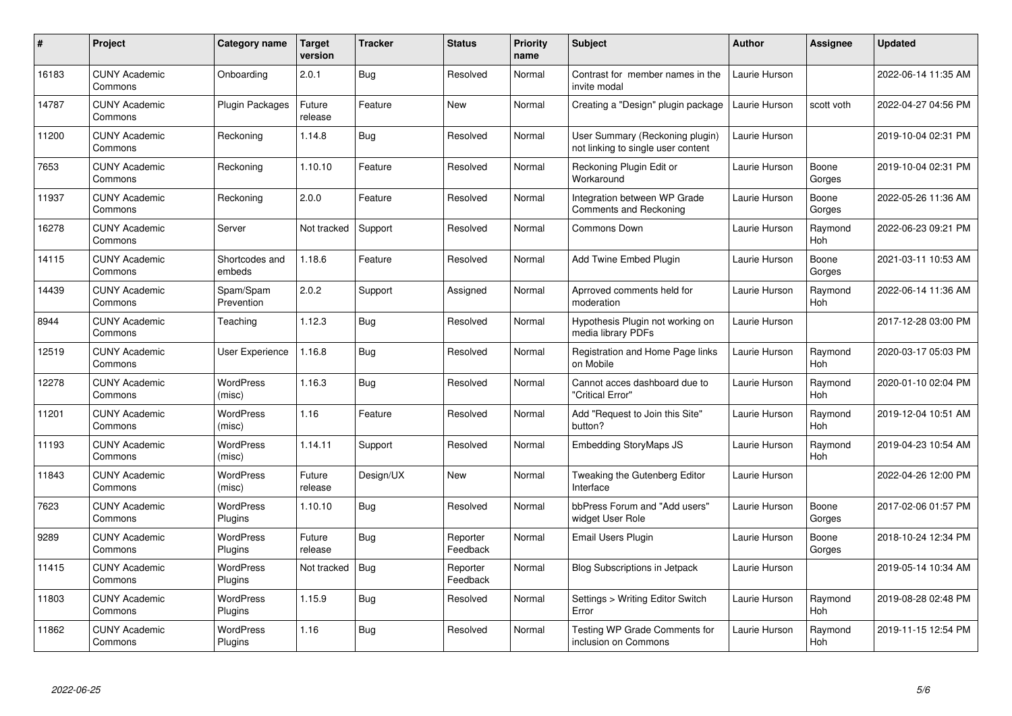| $\pmb{\#}$ | Project                         | Category name              | Target<br>version | <b>Tracker</b> | <b>Status</b>        | <b>Priority</b><br>name | <b>Subject</b>                                                        | <b>Author</b> | <b>Assignee</b> | <b>Updated</b>      |
|------------|---------------------------------|----------------------------|-------------------|----------------|----------------------|-------------------------|-----------------------------------------------------------------------|---------------|-----------------|---------------------|
| 16183      | <b>CUNY Academic</b><br>Commons | Onboarding                 | 2.0.1             | Bug            | Resolved             | Normal                  | Contrast for member names in the<br>invite modal                      | Laurie Hurson |                 | 2022-06-14 11:35 AM |
| 14787      | <b>CUNY Academic</b><br>Commons | <b>Plugin Packages</b>     | Future<br>release | Feature        | New                  | Normal                  | Creating a "Design" plugin package                                    | Laurie Hurson | scott voth      | 2022-04-27 04:56 PM |
| 11200      | <b>CUNY Academic</b><br>Commons | Reckoning                  | 1.14.8            | <b>Bug</b>     | Resolved             | Normal                  | User Summary (Reckoning plugin)<br>not linking to single user content | Laurie Hurson |                 | 2019-10-04 02:31 PM |
| 7653       | <b>CUNY Academic</b><br>Commons | Reckoning                  | 1.10.10           | Feature        | Resolved             | Normal                  | Reckoning Plugin Edit or<br>Workaround                                | Laurie Hurson | Boone<br>Gorges | 2019-10-04 02:31 PM |
| 11937      | <b>CUNY Academic</b><br>Commons | Reckoning                  | 2.0.0             | Feature        | Resolved             | Normal                  | Integration between WP Grade<br>Comments and Reckoning                | Laurie Hurson | Boone<br>Gorges | 2022-05-26 11:36 AM |
| 16278      | <b>CUNY Academic</b><br>Commons | Server                     | Not tracked       | Support        | Resolved             | Normal                  | Commons Down                                                          | Laurie Hurson | Raymond<br>Hoh  | 2022-06-23 09:21 PM |
| 14115      | <b>CUNY Academic</b><br>Commons | Shortcodes and<br>embeds   | 1.18.6            | Feature        | Resolved             | Normal                  | <b>Add Twine Embed Plugin</b>                                         | Laurie Hurson | Boone<br>Gorges | 2021-03-11 10:53 AM |
| 14439      | <b>CUNY Academic</b><br>Commons | Spam/Spam<br>Prevention    | 2.0.2             | Support        | Assigned             | Normal                  | Aprroved comments held for<br>moderation                              | Laurie Hurson | Raymond<br>Hoh  | 2022-06-14 11:36 AM |
| 8944       | <b>CUNY Academic</b><br>Commons | Teaching                   | 1.12.3            | <b>Bug</b>     | Resolved             | Normal                  | Hypothesis Plugin not working on<br>media library PDFs                | Laurie Hurson |                 | 2017-12-28 03:00 PM |
| 12519      | <b>CUNY Academic</b><br>Commons | User Experience            | 1.16.8            | Bug            | Resolved             | Normal                  | Registration and Home Page links<br>on Mobile                         | Laurie Hurson | Raymond<br>Hoh  | 2020-03-17 05:03 PM |
| 12278      | <b>CUNY Academic</b><br>Commons | <b>WordPress</b><br>(misc) | 1.16.3            | Bug            | Resolved             | Normal                  | Cannot acces dashboard due to<br>"Critical Error"                     | Laurie Hurson | Raymond<br>Hoh  | 2020-01-10 02:04 PM |
| 11201      | <b>CUNY Academic</b><br>Commons | <b>WordPress</b><br>(misc) | 1.16              | Feature        | Resolved             | Normal                  | Add "Request to Join this Site"<br>button?                            | Laurie Hurson | Raymond<br>Hoh  | 2019-12-04 10:51 AM |
| 11193      | <b>CUNY Academic</b><br>Commons | <b>WordPress</b><br>(misc) | 1.14.11           | Support        | Resolved             | Normal                  | <b>Embedding StoryMaps JS</b>                                         | Laurie Hurson | Raymond<br>Hoh  | 2019-04-23 10:54 AM |
| 11843      | <b>CUNY Academic</b><br>Commons | <b>WordPress</b><br>(misc) | Future<br>release | Design/UX      | New                  | Normal                  | Tweaking the Gutenberg Editor<br>Interface                            | Laurie Hurson |                 | 2022-04-26 12:00 PM |
| 7623       | <b>CUNY Academic</b><br>Commons | WordPress<br>Plugins       | 1.10.10           | <b>Bug</b>     | Resolved             | Normal                  | bbPress Forum and "Add users"<br>widget User Role                     | Laurie Hurson | Boone<br>Gorges | 2017-02-06 01:57 PM |
| 9289       | <b>CUNY Academic</b><br>Commons | WordPress<br>Plugins       | Future<br>release | Bug            | Reporter<br>Feedback | Normal                  | <b>Email Users Plugin</b>                                             | Laurie Hurson | Boone<br>Gorges | 2018-10-24 12:34 PM |
| 11415      | <b>CUNY Academic</b><br>Commons | WordPress<br>Plugins       | Not tracked       | Bug            | Reporter<br>Feedback | Normal                  | <b>Blog Subscriptions in Jetpack</b>                                  | Laurie Hurson |                 | 2019-05-14 10:34 AM |
| 11803      | <b>CUNY Academic</b><br>Commons | WordPress<br>Plugins       | 1.15.9            | <b>Bug</b>     | Resolved             | Normal                  | Settings > Writing Editor Switch<br>Error                             | Laurie Hurson | Raymond<br>Hoh  | 2019-08-28 02:48 PM |
| 11862      | <b>CUNY Academic</b><br>Commons | WordPress<br>Plugins       | 1.16              | <b>Bug</b>     | Resolved             | Normal                  | Testing WP Grade Comments for<br>inclusion on Commons                 | Laurie Hurson | Raymond<br>Hoh  | 2019-11-15 12:54 PM |